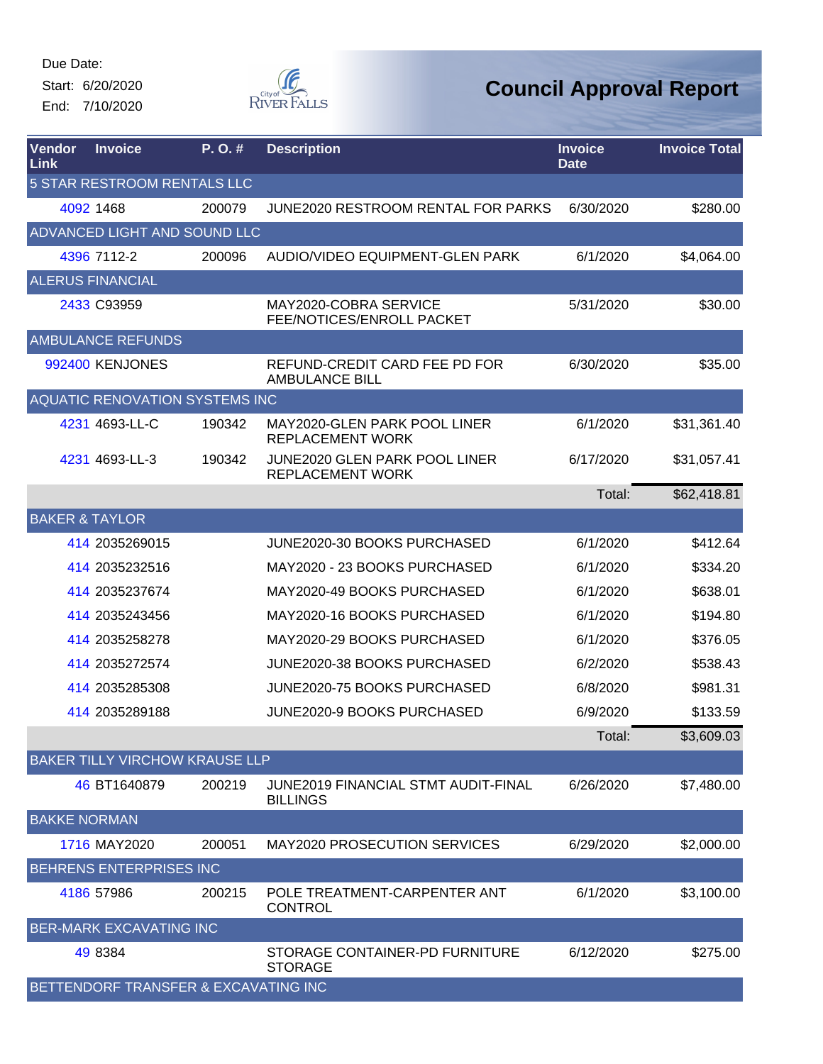Start: 6/20/2020 End: 7/10/2020



| Vendor<br>Link            | <b>Invoice</b>                        | P. O. # | <b>Description</b>                                             | <b>Invoice</b><br><b>Date</b> | <b>Invoice Total</b> |
|---------------------------|---------------------------------------|---------|----------------------------------------------------------------|-------------------------------|----------------------|
|                           | 5 STAR RESTROOM RENTALS LLC           |         |                                                                |                               |                      |
|                           | 4092 1468                             | 200079  | JUNE2020 RESTROOM RENTAL FOR PARKS                             | 6/30/2020                     | \$280.00             |
|                           | ADVANCED LIGHT AND SOUND LLC          |         |                                                                |                               |                      |
|                           | 4396 7112-2                           | 200096  | <b>AUDIO/VIDEO EQUIPMENT-GLEN PARK</b>                         | 6/1/2020                      | \$4,064.00           |
|                           | <b>ALERUS FINANCIAL</b>               |         |                                                                |                               |                      |
|                           | 2433 C93959                           |         | MAY2020-COBRA SERVICE<br>FEE/NOTICES/ENROLL PACKET             | 5/31/2020                     | \$30.00              |
|                           | <b>AMBULANCE REFUNDS</b>              |         |                                                                |                               |                      |
|                           | 992400 KENJONES                       |         | REFUND-CREDIT CARD FEE PD FOR<br><b>AMBULANCE BILL</b>         | 6/30/2020                     | \$35.00              |
|                           | AQUATIC RENOVATION SYSTEMS INC        |         |                                                                |                               |                      |
|                           | 4231 4693-LL-C                        | 190342  | <b>MAY2020-GLEN PARK POOL LINER</b><br><b>REPLACEMENT WORK</b> | 6/1/2020                      | \$31,361.40          |
|                           | 4231 4693-LL-3                        | 190342  | JUNE2020 GLEN PARK POOL LINER<br><b>REPLACEMENT WORK</b>       | 6/17/2020                     | \$31,057.41          |
|                           |                                       |         |                                                                | Total:                        | \$62,418.81          |
| <b>BAKER &amp; TAYLOR</b> |                                       |         |                                                                |                               |                      |
|                           | 414 2035269015                        |         | JUNE2020-30 BOOKS PURCHASED                                    | 6/1/2020                      | \$412.64             |
|                           | 414 2035232516                        |         | MAY2020 - 23 BOOKS PURCHASED                                   | 6/1/2020                      | \$334.20             |
|                           | 414 2035237674                        |         | MAY2020-49 BOOKS PURCHASED                                     | 6/1/2020                      | \$638.01             |
|                           | 414 2035243456                        |         | MAY2020-16 BOOKS PURCHASED                                     | 6/1/2020                      | \$194.80             |
|                           | 414 2035258278                        |         | MAY2020-29 BOOKS PURCHASED                                     | 6/1/2020                      | \$376.05             |
|                           | 414 2035272574                        |         | JUNE2020-38 BOOKS PURCHASED                                    | 6/2/2020                      | \$538.43             |
|                           | 414 2035285308                        |         | JUNE2020-75 BOOKS PURCHASED                                    | 6/8/2020                      | \$981.31             |
|                           | 414 2035289188                        |         | JUNE2020-9 BOOKS PURCHASED                                     | 6/9/2020                      | \$133.59             |
|                           |                                       |         |                                                                | Total:                        | \$3,609.03           |
|                           | <b>BAKER TILLY VIRCHOW KRAUSE LLP</b> |         |                                                                |                               |                      |
|                           | 46 BT1640879                          | 200219  | <b>JUNE2019 FINANCIAL STMT AUDIT-FINAL</b><br><b>BILLINGS</b>  | 6/26/2020                     | \$7,480.00           |
| <b>BAKKE NORMAN</b>       |                                       |         |                                                                |                               |                      |
|                           | 1716 MAY2020                          | 200051  | <b>MAY2020 PROSECUTION SERVICES</b>                            | 6/29/2020                     | \$2,000.00           |
|                           | <b>BEHRENS ENTERPRISES INC</b>        |         |                                                                |                               |                      |
|                           | 4186 57986                            | 200215  | POLE TREATMENT-CARPENTER ANT<br><b>CONTROL</b>                 | 6/1/2020                      | \$3,100.00           |
|                           | <b>BER-MARK EXCAVATING INC</b>        |         |                                                                |                               |                      |
|                           | 49 8384                               |         | STORAGE CONTAINER-PD FURNITURE<br><b>STORAGE</b>               | 6/12/2020                     | \$275.00             |
|                           | BETTENDORF TRANSFER & EXCAVATING INC  |         |                                                                |                               |                      |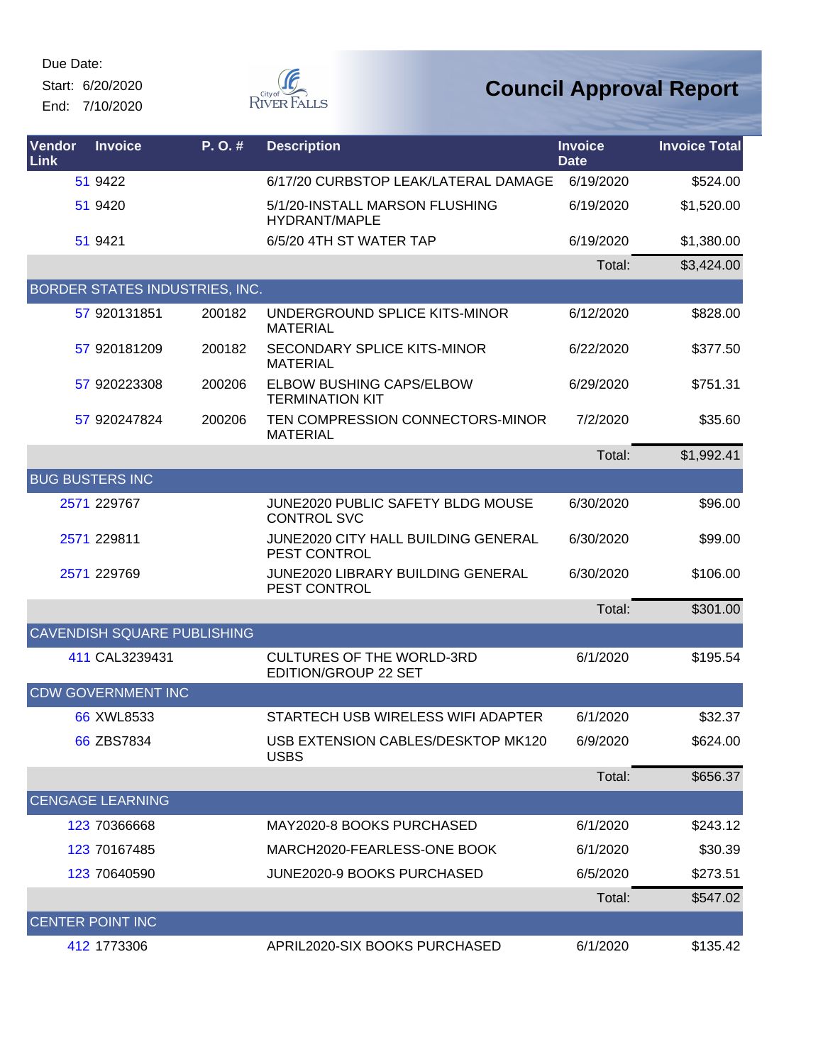Start: 6/20/2020 End: 7/10/2020



| <b>Vendor</b><br>Link | <b>Invoice</b>                     | P.O.#  | <b>Description</b>                                        | <b>Invoice</b><br><b>Date</b> | <b>Invoice Total</b> |
|-----------------------|------------------------------------|--------|-----------------------------------------------------------|-------------------------------|----------------------|
|                       | 51 9422                            |        | 6/17/20 CURBSTOP LEAK/LATERAL DAMAGE                      | 6/19/2020                     | \$524.00             |
|                       | 51 9420                            |        | 5/1/20-INSTALL MARSON FLUSHING<br><b>HYDRANT/MAPLE</b>    | 6/19/2020                     | \$1,520.00           |
|                       | 51 9421                            |        | 6/5/20 4TH ST WATER TAP                                   | 6/19/2020                     | \$1,380.00           |
|                       |                                    |        |                                                           | Total:                        | \$3,424.00           |
|                       | BORDER STATES INDUSTRIES, INC.     |        |                                                           |                               |                      |
|                       | 57 920131851                       | 200182 | UNDERGROUND SPLICE KITS-MINOR<br><b>MATERIAL</b>          | 6/12/2020                     | \$828.00             |
|                       | 57 920181209                       | 200182 | SECONDARY SPLICE KITS-MINOR<br><b>MATERIAL</b>            | 6/22/2020                     | \$377.50             |
|                       | 57 920223308                       | 200206 | <b>ELBOW BUSHING CAPS/ELBOW</b><br><b>TERMINATION KIT</b> | 6/29/2020                     | \$751.31             |
|                       | 57 920247824                       | 200206 | TEN COMPRESSION CONNECTORS-MINOR<br><b>MATERIAL</b>       | 7/2/2020                      | \$35.60              |
|                       |                                    |        |                                                           | Total:                        | \$1,992.41           |
|                       | <b>BUG BUSTERS INC</b>             |        |                                                           |                               |                      |
|                       | 2571 229767                        |        | JUNE2020 PUBLIC SAFETY BLDG MOUSE<br><b>CONTROL SVC</b>   | 6/30/2020                     | \$96.00              |
|                       | 2571 229811                        |        | JUNE2020 CITY HALL BUILDING GENERAL<br>PEST CONTROL       | 6/30/2020                     | \$99.00              |
|                       | 2571 229769                        |        | JUNE2020 LIBRARY BUILDING GENERAL<br>PEST CONTROL         | 6/30/2020                     | \$106.00             |
|                       |                                    |        |                                                           | Total:                        | \$301.00             |
|                       | <b>CAVENDISH SQUARE PUBLISHING</b> |        |                                                           |                               |                      |
|                       | 411 CAL3239431                     |        | <b>CULTURES OF THE WORLD-3RD</b><br>EDITION/GROUP 22 SET  | 6/1/2020                      | \$195.54             |
|                       | <b>CDW GOVERNMENT INC</b>          |        |                                                           |                               |                      |
|                       | 66 XWL8533                         |        | STARTECH USB WIRELESS WIFI ADAPTER                        | 6/1/2020                      | \$32.37              |
|                       | 66 ZBS7834                         |        | USB EXTENSION CABLES/DESKTOP MK120<br><b>USBS</b>         | 6/9/2020                      | \$624.00             |
|                       |                                    |        |                                                           | Total:                        | \$656.37             |
|                       | <b>CENGAGE LEARNING</b>            |        |                                                           |                               |                      |
|                       | 123 70366668                       |        | MAY2020-8 BOOKS PURCHASED                                 | 6/1/2020                      | \$243.12             |
|                       | 123 70167485                       |        | MARCH2020-FEARLESS-ONE BOOK                               | 6/1/2020                      | \$30.39              |
|                       | 123 70640590                       |        | JUNE2020-9 BOOKS PURCHASED                                | 6/5/2020                      | \$273.51             |
|                       |                                    |        |                                                           | Total:                        | \$547.02             |
|                       | <b>CENTER POINT INC</b>            |        |                                                           |                               |                      |
|                       | 412 1773306                        |        | APRIL2020-SIX BOOKS PURCHASED                             | 6/1/2020                      | \$135.42             |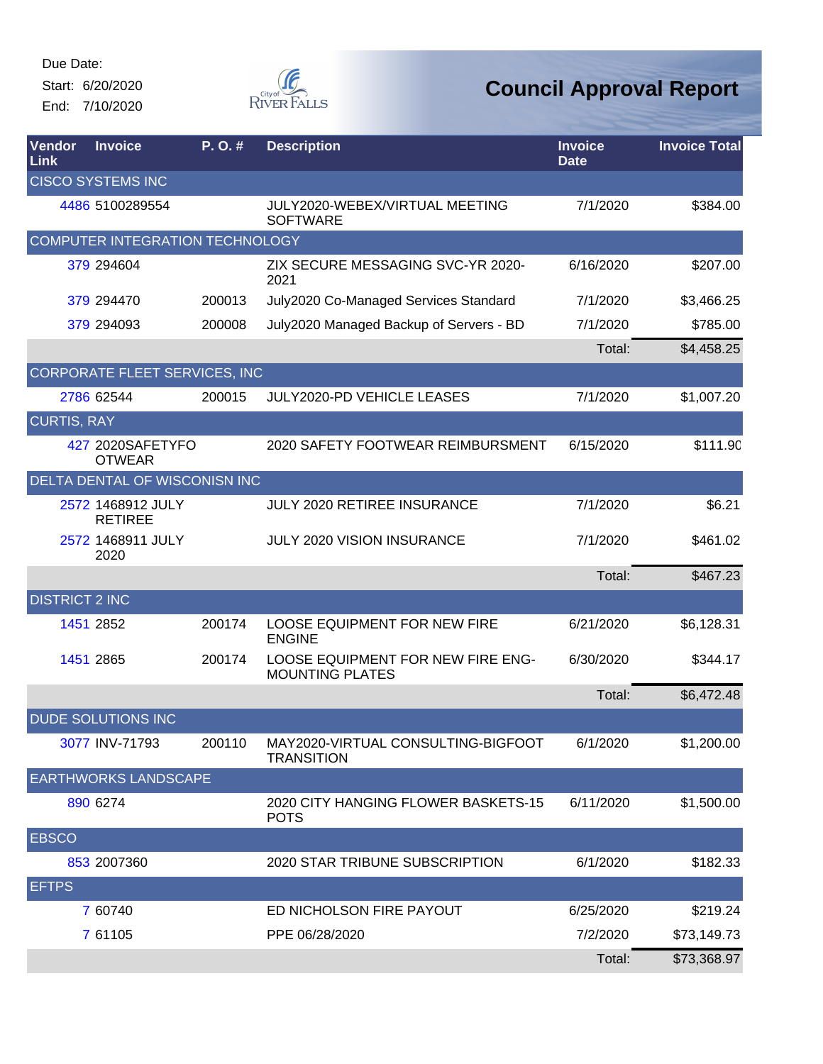Start: 6/20/2020 End: 7/10/2020



| Vendor<br>Link        | <b>Invoice</b>                      | P.O.#  | <b>Description</b>                                          | <b>Invoice</b><br><b>Date</b> | <b>Invoice Total</b> |
|-----------------------|-------------------------------------|--------|-------------------------------------------------------------|-------------------------------|----------------------|
|                       | <b>CISCO SYSTEMS INC</b>            |        |                                                             |                               |                      |
|                       | 4486 5100289554                     |        | JULY2020-WEBEX/VIRTUAL MEETING<br><b>SOFTWARE</b>           | 7/1/2020                      | \$384.00             |
|                       | COMPUTER INTEGRATION TECHNOLOGY     |        |                                                             |                               |                      |
|                       | 379 294604                          |        | ZIX SECURE MESSAGING SVC-YR 2020-<br>2021                   | 6/16/2020                     | \$207.00             |
|                       | 379 294470                          | 200013 | July2020 Co-Managed Services Standard                       | 7/1/2020                      | \$3,466.25           |
|                       | 379 294093                          | 200008 | July2020 Managed Backup of Servers - BD                     | 7/1/2020                      | \$785.00             |
|                       |                                     |        |                                                             | Total:                        | \$4,458.25           |
|                       | CORPORATE FLEET SERVICES, INC       |        |                                                             |                               |                      |
|                       | 2786 62544                          | 200015 | <b>JULY2020-PD VEHICLE LEASES</b>                           | 7/1/2020                      | \$1,007.20           |
| <b>CURTIS, RAY</b>    |                                     |        |                                                             |                               |                      |
|                       | 427 2020SAFETYFO<br><b>OTWEAR</b>   |        | 2020 SAFETY FOOTWEAR REIMBURSMENT                           | 6/15/2020                     | \$111.90             |
|                       | DELTA DENTAL OF WISCONISN INC       |        |                                                             |                               |                      |
|                       | 2572 1468912 JULY<br><b>RETIREE</b> |        | JULY 2020 RETIREE INSURANCE                                 | 7/1/2020                      | \$6.21               |
|                       | 2572 1468911 JULY<br>2020           |        | <b>JULY 2020 VISION INSURANCE</b>                           | 7/1/2020                      | \$461.02             |
|                       |                                     |        |                                                             | Total:                        | \$467.23             |
| <b>DISTRICT 2 INC</b> |                                     |        |                                                             |                               |                      |
|                       | 1451 2852                           | 200174 | LOOSE EQUIPMENT FOR NEW FIRE<br><b>ENGINE</b>               | 6/21/2020                     | \$6,128.31           |
|                       | 1451 2865                           | 200174 | LOOSE EQUIPMENT FOR NEW FIRE ENG-<br><b>MOUNTING PLATES</b> | 6/30/2020                     | \$344.17             |
|                       |                                     |        |                                                             | Total:                        | \$6,472.48           |
|                       | <b>DUDE SOLUTIONS INC</b>           |        |                                                             |                               |                      |
|                       | 3077 INV-71793                      | 200110 | MAY2020-VIRTUAL CONSULTING-BIGFOOT<br><b>TRANSITION</b>     | 6/1/2020                      | \$1,200.00           |
|                       | <b>EARTHWORKS LANDSCAPE</b>         |        |                                                             |                               |                      |
|                       | 890 6274                            |        | 2020 CITY HANGING FLOWER BASKETS-15<br><b>POTS</b>          | 6/11/2020                     | \$1,500.00           |
| <b>EBSCO</b>          |                                     |        |                                                             |                               |                      |
|                       | 853 2007360                         |        | 2020 STAR TRIBUNE SUBSCRIPTION                              | 6/1/2020                      | \$182.33             |
| <b>EFTPS</b>          |                                     |        |                                                             |                               |                      |
|                       | 7 60740                             |        | ED NICHOLSON FIRE PAYOUT                                    | 6/25/2020                     | \$219.24             |
|                       | 7 61105                             |        | PPE 06/28/2020                                              | 7/2/2020                      | \$73,149.73          |
|                       |                                     |        |                                                             | Total:                        | \$73,368.97          |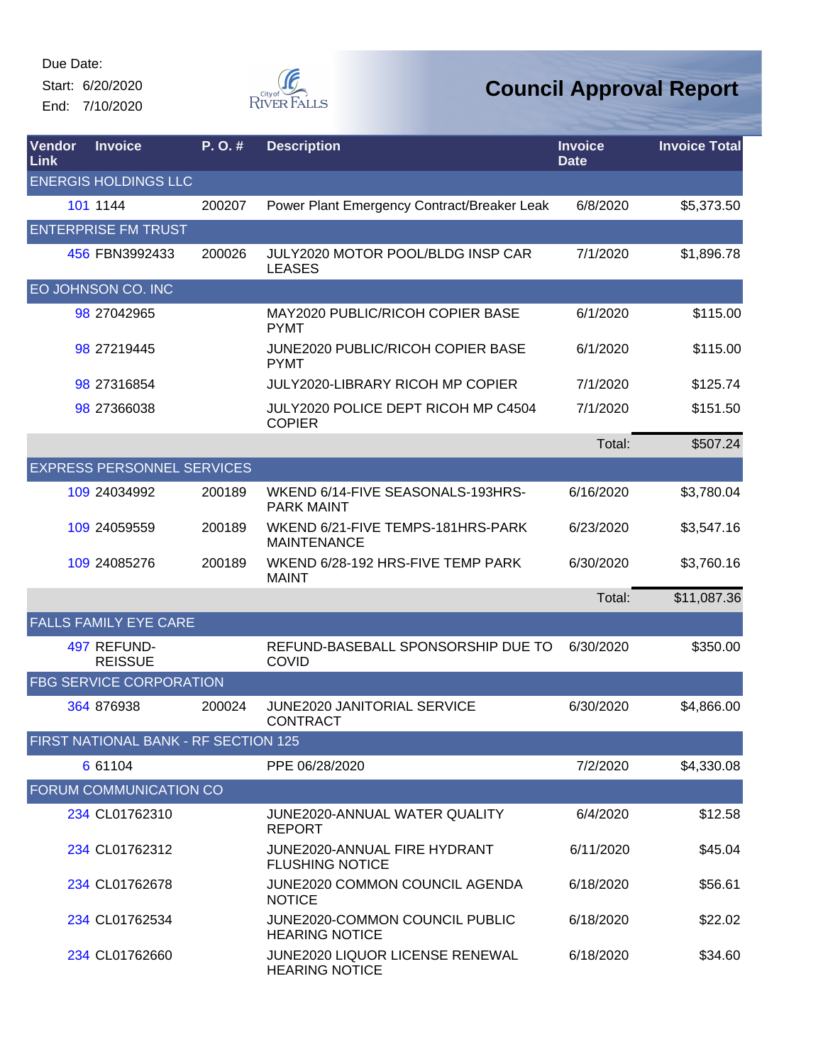Start: 6/20/2020 End: 7/10/2020



| Vendor<br>Link | <b>Invoice</b>                       | P.O.#  | <b>Description</b>                                       | <b>Invoice</b><br><b>Date</b> | <b>Invoice Total</b> |
|----------------|--------------------------------------|--------|----------------------------------------------------------|-------------------------------|----------------------|
|                | <b>ENERGIS HOLDINGS LLC</b>          |        |                                                          |                               |                      |
|                | 101 1144                             | 200207 | Power Plant Emergency Contract/Breaker Leak              | 6/8/2020                      | \$5,373.50           |
|                | <b>ENTERPRISE FM TRUST</b>           |        |                                                          |                               |                      |
|                | 456 FBN3992433                       | 200026 | JULY2020 MOTOR POOL/BLDG INSP CAR<br><b>LEASES</b>       | 7/1/2020                      | \$1,896.78           |
|                | EO JOHNSON CO. INC                   |        |                                                          |                               |                      |
|                | 98 27042965                          |        | MAY2020 PUBLIC/RICOH COPIER BASE<br><b>PYMT</b>          | 6/1/2020                      | \$115.00             |
|                | 98 27219445                          |        | JUNE2020 PUBLIC/RICOH COPIER BASE<br><b>PYMT</b>         | 6/1/2020                      | \$115.00             |
|                | 98 27316854                          |        | JULY2020-LIBRARY RICOH MP COPIER                         | 7/1/2020                      | \$125.74             |
|                | 98 27366038                          |        | JULY2020 POLICE DEPT RICOH MP C4504<br><b>COPIER</b>     | 7/1/2020                      | \$151.50             |
|                |                                      |        |                                                          | Total:                        | \$507.24             |
|                | <b>EXPRESS PERSONNEL SERVICES</b>    |        |                                                          |                               |                      |
|                | 109 24034992                         | 200189 | WKEND 6/14-FIVE SEASONALS-193HRS-<br><b>PARK MAINT</b>   | 6/16/2020                     | \$3,780.04           |
|                | 109 24059559                         | 200189 | WKEND 6/21-FIVE TEMPS-181HRS-PARK<br><b>MAINTENANCE</b>  | 6/23/2020                     | \$3,547.16           |
|                | 109 24085276                         | 200189 | WKEND 6/28-192 HRS-FIVE TEMP PARK<br><b>MAINT</b>        | 6/30/2020                     | \$3,760.16           |
|                |                                      |        |                                                          | Total:                        | \$11,087.36          |
|                | <b>FALLS FAMILY EYE CARE</b>         |        |                                                          |                               |                      |
|                | 497 REFUND-<br><b>REISSUE</b>        |        | REFUND-BASEBALL SPONSORSHIP DUE TO<br><b>COVID</b>       | 6/30/2020                     | \$350.00             |
|                | <b>FBG SERVICE CORPORATION</b>       |        |                                                          |                               |                      |
|                | 364 876938                           | 200024 | JUNE2020 JANITORIAL SERVICE<br><b>CONTRACT</b>           | 6/30/2020                     | \$4,866.00           |
|                | FIRST NATIONAL BANK - RF SECTION 125 |        |                                                          |                               |                      |
|                | 6 61104                              |        | PPE 06/28/2020                                           | 7/2/2020                      | \$4,330.08           |
|                | <b>FORUM COMMUNICATION CO</b>        |        |                                                          |                               |                      |
|                | 234 CL01762310                       |        | JUNE2020-ANNUAL WATER QUALITY<br><b>REPORT</b>           | 6/4/2020                      | \$12.58              |
|                | 234 CL01762312                       |        | JUNE2020-ANNUAL FIRE HYDRANT<br><b>FLUSHING NOTICE</b>   | 6/11/2020                     | \$45.04              |
|                | 234 CL01762678                       |        | <b>JUNE2020 COMMON COUNCIL AGENDA</b><br><b>NOTICE</b>   | 6/18/2020                     | \$56.61              |
|                | 234 CL01762534                       |        | JUNE2020-COMMON COUNCIL PUBLIC<br><b>HEARING NOTICE</b>  | 6/18/2020                     | \$22.02              |
|                | 234 CL01762660                       |        | JUNE2020 LIQUOR LICENSE RENEWAL<br><b>HEARING NOTICE</b> | 6/18/2020                     | \$34.60              |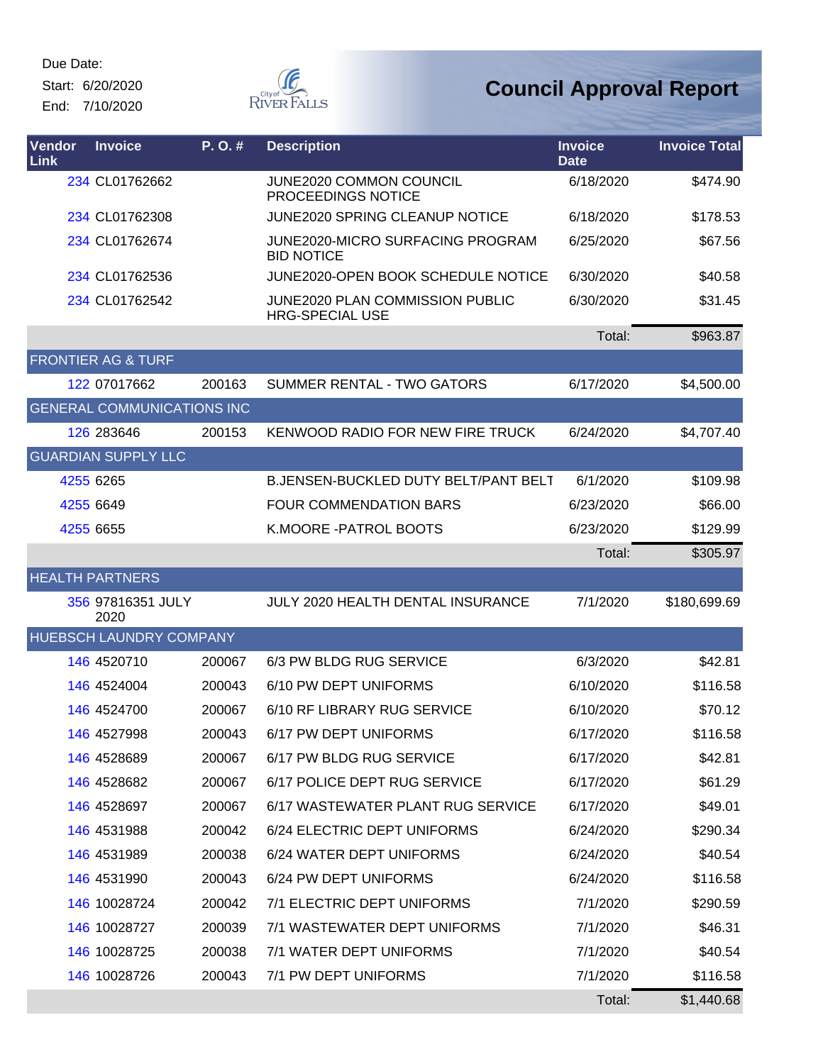Start: 6/20/2020 End: 7/10/2020



| Vendor<br>Link | <b>Invoice</b>                    | P.O.#  | <b>Description</b>                                               | <b>Invoice</b><br><b>Date</b> | <b>Invoice Total</b> |
|----------------|-----------------------------------|--------|------------------------------------------------------------------|-------------------------------|----------------------|
|                | 234 CL01762662                    |        | JUNE2020 COMMON COUNCIL<br>PROCEEDINGS NOTICE                    | 6/18/2020                     | \$474.90             |
|                | 234 CL01762308                    |        | <b>JUNE2020 SPRING CLEANUP NOTICE</b>                            | 6/18/2020                     | \$178.53             |
|                | 234 CL01762674                    |        | <b>JUNE2020-MICRO SURFACING PROGRAM</b><br><b>BID NOTICE</b>     | 6/25/2020                     | \$67.56              |
|                | 234 CL01762536                    |        | JUNE2020-OPEN BOOK SCHEDULE NOTICE                               | 6/30/2020                     | \$40.58              |
|                | 234 CL01762542                    |        | <b>JUNE2020 PLAN COMMISSION PUBLIC</b><br><b>HRG-SPECIAL USE</b> | 6/30/2020                     | \$31.45              |
|                |                                   |        |                                                                  | Total:                        | \$963.87             |
|                | <b>FRONTIER AG &amp; TURF</b>     |        |                                                                  |                               |                      |
|                | 122 07017662                      | 200163 | SUMMER RENTAL - TWO GATORS                                       | 6/17/2020                     | \$4,500.00           |
|                | <b>GENERAL COMMUNICATIONS INC</b> |        |                                                                  |                               |                      |
|                | 126 283646                        | 200153 | KENWOOD RADIO FOR NEW FIRE TRUCK                                 | 6/24/2020                     | \$4,707.40           |
|                | <b>GUARDIAN SUPPLY LLC</b>        |        |                                                                  |                               |                      |
|                | 4255 6265                         |        | B.JENSEN-BUCKLED DUTY BELT/PANT BELT                             | 6/1/2020                      | \$109.98             |
|                | 4255 6649                         |        | <b>FOUR COMMENDATION BARS</b>                                    | 6/23/2020                     | \$66.00              |
|                | 4255 6655                         |        | K.MOORE - PATROL BOOTS                                           | 6/23/2020                     | \$129.99             |
|                |                                   |        |                                                                  | Total:                        | \$305.97             |
|                | <b>HEALTH PARTNERS</b>            |        |                                                                  |                               |                      |
|                | 356 97816351 JULY<br>2020         |        | <b>JULY 2020 HEALTH DENTAL INSURANCE</b>                         | 7/1/2020                      | \$180,699.69         |
|                | HUEBSCH LAUNDRY COMPANY           |        |                                                                  |                               |                      |
|                | 146 4520710                       | 200067 | 6/3 PW BLDG RUG SERVICE                                          | 6/3/2020                      | \$42.81              |
|                | 146 4524004                       | 200043 | 6/10 PW DEPT UNIFORMS                                            | 6/10/2020                     | \$116.58             |
|                | 146 4524700                       | 200067 | 6/10 RF LIBRARY RUG SERVICE                                      | 6/10/2020                     | \$70.12              |
|                | 146 4527998                       | 200043 | 6/17 PW DEPT UNIFORMS                                            | 6/17/2020                     | \$116.58             |
|                | 146 4528689                       | 200067 | 6/17 PW BLDG RUG SERVICE                                         | 6/17/2020                     | \$42.81              |
|                | 146 4528682                       | 200067 | 6/17 POLICE DEPT RUG SERVICE                                     | 6/17/2020                     | \$61.29              |
|                | 146 4528697                       | 200067 | 6/17 WASTEWATER PLANT RUG SERVICE                                | 6/17/2020                     | \$49.01              |
|                | 146 4531988                       | 200042 | 6/24 ELECTRIC DEPT UNIFORMS                                      | 6/24/2020                     | \$290.34             |
|                | 146 4531989                       | 200038 | 6/24 WATER DEPT UNIFORMS                                         | 6/24/2020                     | \$40.54              |
|                | 146 4531990                       | 200043 | 6/24 PW DEPT UNIFORMS                                            | 6/24/2020                     | \$116.58             |
|                | 146 10028724                      | 200042 | 7/1 ELECTRIC DEPT UNIFORMS                                       | 7/1/2020                      | \$290.59             |
|                | 146 10028727                      | 200039 | 7/1 WASTEWATER DEPT UNIFORMS                                     | 7/1/2020                      | \$46.31              |
|                | 146 10028725                      | 200038 | 7/1 WATER DEPT UNIFORMS                                          | 7/1/2020                      | \$40.54              |
|                | 146 10028726                      | 200043 | 7/1 PW DEPT UNIFORMS                                             | 7/1/2020                      | \$116.58             |
|                |                                   |        |                                                                  | Total:                        | \$1,440.68           |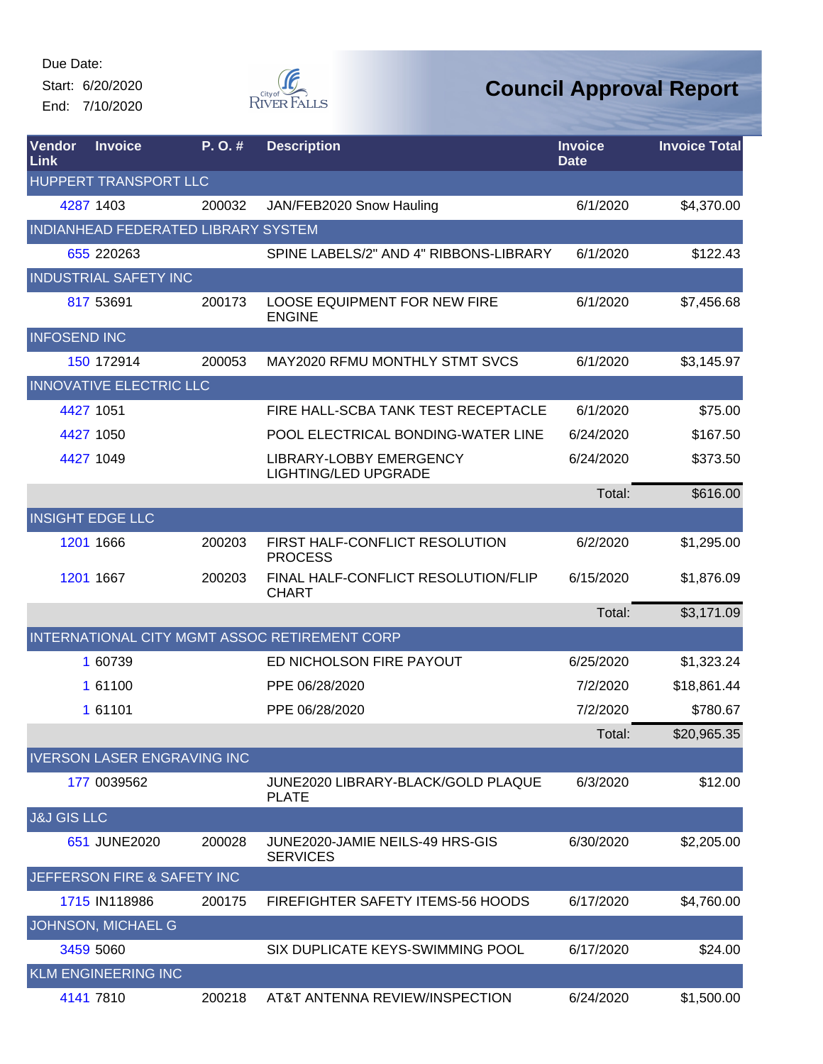Start: 6/20/2020 End: 7/10/2020



| <b>Vendor</b><br><b>Link</b> | <b>Invoice</b>                      | P.O.#  | <b>Description</b>                                     | <b>Invoice</b><br><b>Date</b> | <b>Invoice Total</b> |
|------------------------------|-------------------------------------|--------|--------------------------------------------------------|-------------------------------|----------------------|
|                              | HUPPERT TRANSPORT LLC               |        |                                                        |                               |                      |
|                              | 4287 1403                           | 200032 | JAN/FEB2020 Snow Hauling                               | 6/1/2020                      | \$4,370.00           |
|                              | INDIANHEAD FEDERATED LIBRARY SYSTEM |        |                                                        |                               |                      |
|                              | 655 220263                          |        | SPINE LABELS/2" AND 4" RIBBONS-LIBRARY                 | 6/1/2020                      | \$122.43             |
|                              | <b>INDUSTRIAL SAFETY INC</b>        |        |                                                        |                               |                      |
|                              | 817 53691                           | 200173 | LOOSE EQUIPMENT FOR NEW FIRE<br><b>ENGINE</b>          | 6/1/2020                      | \$7,456.68           |
| <b>INFOSEND INC</b>          |                                     |        |                                                        |                               |                      |
|                              | 150 172914                          | 200053 | MAY2020 RFMU MONTHLY STMT SVCS                         | 6/1/2020                      | \$3,145.97           |
|                              | <b>INNOVATIVE ELECTRIC LLC</b>      |        |                                                        |                               |                      |
|                              | 4427 1051                           |        | FIRE HALL-SCBA TANK TEST RECEPTACLE                    | 6/1/2020                      | \$75.00              |
|                              | 4427 1050                           |        | POOL ELECTRICAL BONDING-WATER LINE                     | 6/24/2020                     | \$167.50             |
|                              | 4427 1049                           |        | LIBRARY-LOBBY EMERGENCY<br><b>LIGHTING/LED UPGRADE</b> | 6/24/2020                     | \$373.50             |
|                              |                                     |        |                                                        | Total:                        | \$616.00             |
|                              | <b>INSIGHT EDGE LLC</b>             |        |                                                        |                               |                      |
|                              | 1201 1666                           | 200203 | FIRST HALF-CONFLICT RESOLUTION<br><b>PROCESS</b>       | 6/2/2020                      | \$1,295.00           |
|                              | 1201 1667                           | 200203 | FINAL HALF-CONFLICT RESOLUTION/FLIP<br><b>CHART</b>    | 6/15/2020                     | \$1,876.09           |
|                              |                                     |        |                                                        | Total:                        | \$3,171.09           |
|                              |                                     |        | INTERNATIONAL CITY MGMT ASSOC RETIREMENT CORP          |                               |                      |
|                              | 1 60739                             |        | ED NICHOLSON FIRE PAYOUT                               | 6/25/2020                     | \$1,323.24           |
|                              | 1 61100                             |        | PPE 06/28/2020                                         | 7/2/2020                      | \$18,861.44          |
|                              | 1 61101                             |        | PPE 06/28/2020                                         | 7/2/2020                      | \$780.67             |
|                              |                                     |        |                                                        | Total:                        | \$20,965.35          |
|                              | <b>IVERSON LASER ENGRAVING INC</b>  |        |                                                        |                               |                      |
|                              | 177 0039562                         |        | JUNE2020 LIBRARY-BLACK/GOLD PLAQUE<br><b>PLATE</b>     | 6/3/2020                      | \$12.00              |
| <b>J&amp;J GIS LLC</b>       |                                     |        |                                                        |                               |                      |
|                              | 651 JUNE2020                        | 200028 | JUNE2020-JAMIE NEILS-49 HRS-GIS<br><b>SERVICES</b>     | 6/30/2020                     | \$2,205.00           |
|                              | JEFFERSON FIRE & SAFETY INC         |        |                                                        |                               |                      |
|                              | 1715 IN118986                       | 200175 | FIREFIGHTER SAFETY ITEMS-56 HOODS                      | 6/17/2020                     | \$4,760.00           |
|                              | JOHNSON, MICHAEL G                  |        |                                                        |                               |                      |
|                              | 3459 5060                           |        | SIX DUPLICATE KEYS-SWIMMING POOL                       | 6/17/2020                     | \$24.00              |
|                              | <b>KLM ENGINEERING INC</b>          |        |                                                        |                               |                      |
|                              | 4141 7810                           | 200218 | AT&T ANTENNA REVIEW/INSPECTION                         | 6/24/2020                     | \$1,500.00           |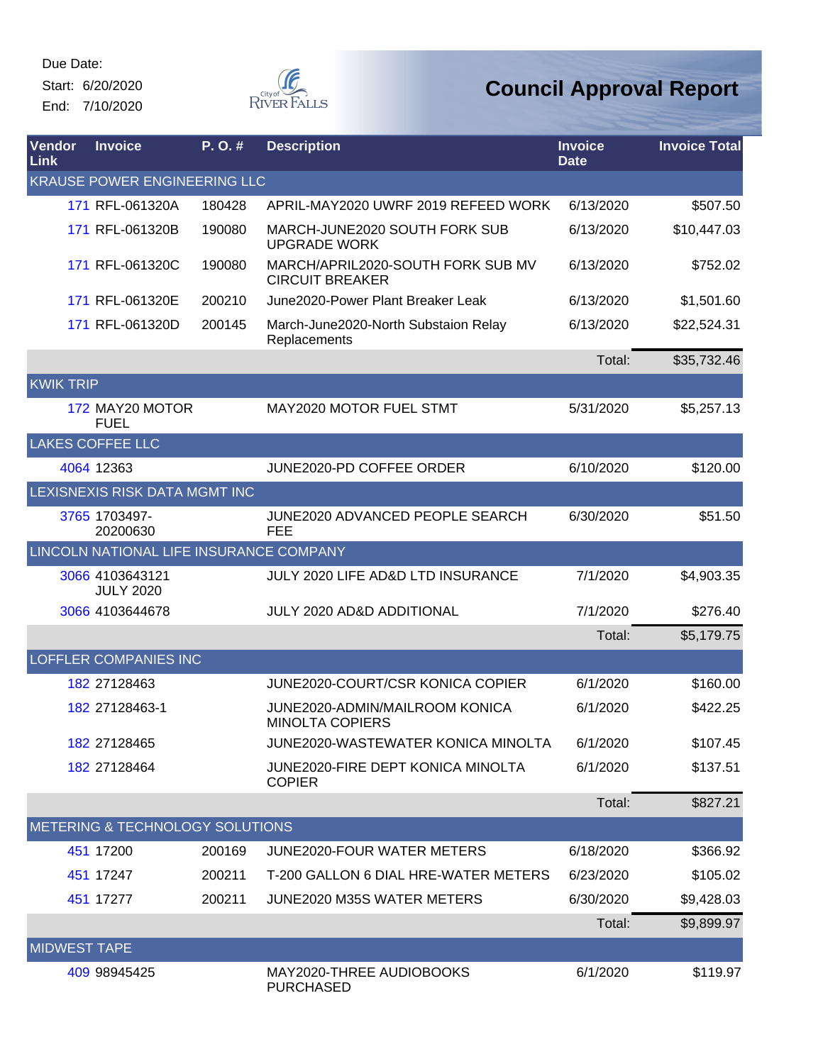Start: 6/20/2020 End: 7/10/2020



| <b>Vendor</b><br>Link | <b>Invoice</b>                          | P.O.#  | <b>Description</b>                                              | <b>Invoice</b><br><b>Date</b> | <b>Invoice Total</b> |
|-----------------------|-----------------------------------------|--------|-----------------------------------------------------------------|-------------------------------|----------------------|
|                       | <b>KRAUSE POWER ENGINEERING LLC</b>     |        |                                                                 |                               |                      |
|                       | 171 RFL-061320A                         | 180428 | APRIL-MAY2020 UWRF 2019 REFEED WORK                             | 6/13/2020                     | \$507.50             |
|                       | 171 RFL-061320B                         | 190080 | MARCH-JUNE2020 SOUTH FORK SUB<br><b>UPGRADE WORK</b>            | 6/13/2020                     | \$10,447.03          |
|                       | 171 RFL-061320C                         | 190080 | MARCH/APRIL2020-SOUTH FORK SUB MV<br><b>CIRCUIT BREAKER</b>     | 6/13/2020                     | \$752.02             |
|                       | 171 RFL-061320E                         | 200210 | June 2020-Power Plant Breaker Leak                              | 6/13/2020                     | \$1,501.60           |
|                       | 171 RFL-061320D                         | 200145 | March-June2020-North Substaion Relay<br>Replacements            | 6/13/2020                     | \$22,524.31          |
|                       |                                         |        |                                                                 | Total:                        | \$35,732.46          |
| <b>KWIK TRIP</b>      |                                         |        |                                                                 |                               |                      |
|                       | 172 MAY20 MOTOR<br><b>FUEL</b>          |        | <b>MAY2020 MOTOR FUEL STMT</b>                                  | 5/31/2020                     | \$5,257.13           |
|                       | <b>LAKES COFFEE LLC</b>                 |        |                                                                 |                               |                      |
|                       | 4064 12363                              |        | JUNE2020-PD COFFEE ORDER                                        | 6/10/2020                     | \$120.00             |
|                       | LEXISNEXIS RISK DATA MGMT INC           |        |                                                                 |                               |                      |
|                       | 3765 1703497-<br>20200630               |        | JUNE2020 ADVANCED PEOPLE SEARCH<br><b>FEE</b>                   | 6/30/2020                     | \$51.50              |
|                       | LINCOLN NATIONAL LIFE INSURANCE COMPANY |        |                                                                 |                               |                      |
|                       | 3066 4103643121<br><b>JULY 2020</b>     |        | <b>JULY 2020 LIFE AD&amp;D LTD INSURANCE</b>                    | 7/1/2020                      | \$4,903.35           |
|                       | 3066 4103644678                         |        | <b>JULY 2020 AD&amp;D ADDITIONAL</b>                            | 7/1/2020                      | \$276.40             |
|                       |                                         |        |                                                                 | Total:                        | \$5,179.75           |
|                       | <b>LOFFLER COMPANIES INC</b>            |        |                                                                 |                               |                      |
|                       | 182 271 284 63                          |        | JUNE2020-COURT/CSR KONICA COPIER                                | 6/1/2020                      | \$160.00             |
|                       | 182 27128463-1                          |        | <b>JUNE2020-ADMIN/MAILROOM KONICA</b><br><b>MINOLTA COPIERS</b> | 6/1/2020                      | \$422.25             |
|                       | 182 27128465                            |        | JUNE2020-WASTEWATER KONICA MINOLTA                              | 6/1/2020                      | \$107.45             |
|                       | 182 27128464                            |        | JUNE2020-FIRE DEPT KONICA MINOLTA<br><b>COPIER</b>              | 6/1/2020                      | \$137.51             |
|                       |                                         |        |                                                                 | Total:                        | \$827.21             |
|                       | METERING & TECHNOLOGY SOLUTIONS         |        |                                                                 |                               |                      |
|                       | 451 17200                               | 200169 | JUNE2020-FOUR WATER METERS                                      | 6/18/2020                     | \$366.92             |
|                       | 451 17247                               | 200211 | T-200 GALLON 6 DIAL HRE-WATER METERS                            | 6/23/2020                     | \$105.02             |
|                       | 451 17277                               | 200211 | JUNE2020 M35S WATER METERS                                      | 6/30/2020                     | \$9,428.03           |
|                       |                                         |        |                                                                 | Total:                        | \$9,899.97           |
| <b>MIDWEST TAPE</b>   |                                         |        |                                                                 |                               |                      |
|                       | 409 98945425                            |        | MAY2020-THREE AUDIOBOOKS<br><b>PURCHASED</b>                    | 6/1/2020                      | \$119.97             |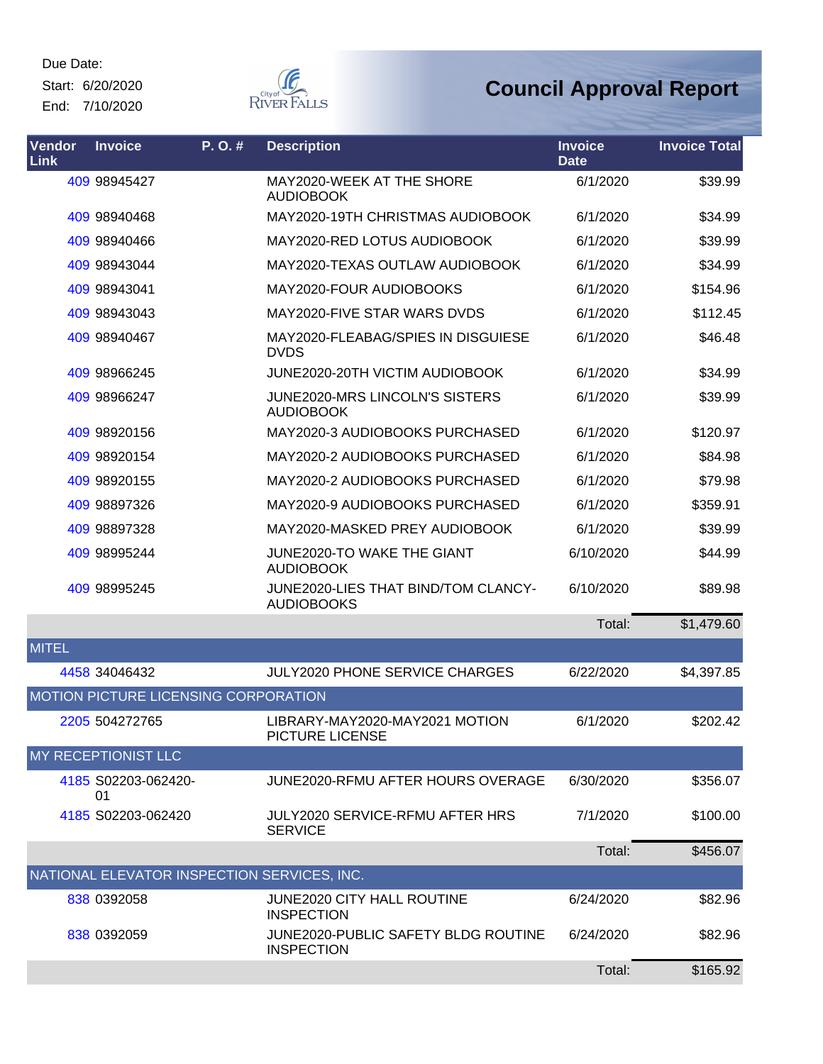Start: 6/20/2020 End: 7/10/2020



| Vendor<br><b>Link</b> | <b>Invoice</b>                       | P. O. # | <b>Description</b>                                       | <b>Invoice</b><br><b>Date</b> | <b>Invoice Total</b> |
|-----------------------|--------------------------------------|---------|----------------------------------------------------------|-------------------------------|----------------------|
|                       | 409 98945427                         |         | MAY2020-WEEK AT THE SHORE<br><b>AUDIOBOOK</b>            | 6/1/2020                      | \$39.99              |
|                       | 409 98940468                         |         | MAY2020-19TH CHRISTMAS AUDIOBOOK                         | 6/1/2020                      | \$34.99              |
|                       | 409 98940466                         |         | MAY2020-RED LOTUS AUDIOBOOK                              | 6/1/2020                      | \$39.99              |
|                       | 409 98943044                         |         | MAY2020-TEXAS OUTLAW AUDIOBOOK                           | 6/1/2020                      | \$34.99              |
|                       | 409 98943041                         |         | MAY2020-FOUR AUDIOBOOKS                                  | 6/1/2020                      | \$154.96             |
|                       | 409 98943043                         |         | MAY2020-FIVE STAR WARS DVDS                              | 6/1/2020                      | \$112.45             |
|                       | 409 98940467                         |         | MAY2020-FLEABAG/SPIES IN DISGUIESE<br><b>DVDS</b>        | 6/1/2020                      | \$46.48              |
|                       | 409 98966245                         |         | <b>JUNE2020-20TH VICTIM AUDIOBOOK</b>                    | 6/1/2020                      | \$34.99              |
|                       | 409 98966247                         |         | JUNE2020-MRS LINCOLN'S SISTERS<br><b>AUDIOBOOK</b>       | 6/1/2020                      | \$39.99              |
|                       | 409 98920156                         |         | MAY2020-3 AUDIOBOOKS PURCHASED                           | 6/1/2020                      | \$120.97             |
|                       | 409 98920154                         |         | MAY2020-2 AUDIOBOOKS PURCHASED                           | 6/1/2020                      | \$84.98              |
|                       | 409 98920155                         |         | MAY2020-2 AUDIOBOOKS PURCHASED                           | 6/1/2020                      | \$79.98              |
|                       | 409 98897326                         |         | MAY2020-9 AUDIOBOOKS PURCHASED                           | 6/1/2020                      | \$359.91             |
|                       | 409 98897328                         |         | MAY2020-MASKED PREY AUDIOBOOK                            | 6/1/2020                      | \$39.99              |
|                       | 409 98995244                         |         | JUNE2020-TO WAKE THE GIANT<br><b>AUDIOBOOK</b>           | 6/10/2020                     | \$44.99              |
|                       | 409 98995245                         |         | JUNE2020-LIES THAT BIND/TOM CLANCY-<br><b>AUDIOBOOKS</b> | 6/10/2020                     | \$89.98              |
|                       |                                      |         |                                                          | Total:                        | \$1,479.60           |
| <b>MITEL</b>          |                                      |         |                                                          |                               |                      |
|                       | 4458 34046432                        |         | JULY2020 PHONE SERVICE CHARGES                           | 6/22/2020                     | \$4,397.85           |
|                       | MOTION PICTURE LICENSING CORPORATION |         |                                                          |                               |                      |
|                       | 2205 504272765                       |         | LIBRARY-MAY2020-MAY2021 MOTION<br>PICTURE LICENSE        | 6/1/2020                      | \$202.42             |
|                       | MY RECEPTIONIST LLC                  |         |                                                          |                               |                      |
|                       | 4185 S02203-062420-<br>01            |         | JUNE2020-RFMU AFTER HOURS OVERAGE                        | 6/30/2020                     | \$356.07             |
|                       | 4185 S02203-062420                   |         | <b>JULY2020 SERVICE-RFMU AFTER HRS</b><br><b>SERVICE</b> | 7/1/2020                      | \$100.00             |
|                       |                                      |         |                                                          | Total:                        | \$456.07             |
|                       |                                      |         | NATIONAL ELEVATOR INSPECTION SERVICES, INC.              |                               |                      |
|                       | 838 0392058                          |         | <b>JUNE2020 CITY HALL ROUTINE</b><br><b>INSPECTION</b>   | 6/24/2020                     | \$82.96              |
|                       | 838 0392059                          |         | JUNE2020-PUBLIC SAFETY BLDG ROUTINE<br><b>INSPECTION</b> | 6/24/2020                     | \$82.96              |
|                       |                                      |         |                                                          | Total:                        | \$165.92             |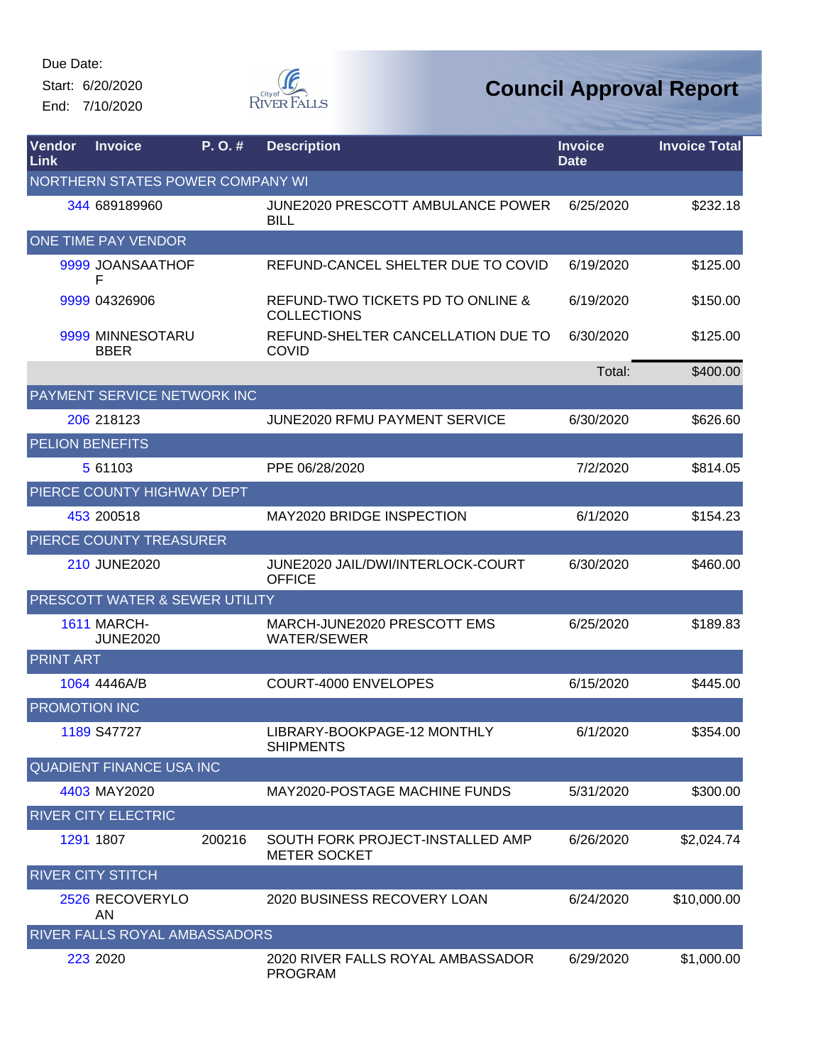Start: 6/20/2020 End: 7/10/2020



| Vendor<br>Link       | <b>Invoice</b>                        | P.O.#  | <b>Description</b>                                      | <b>Invoice</b><br><b>Date</b> | <b>Invoice Total</b> |
|----------------------|---------------------------------------|--------|---------------------------------------------------------|-------------------------------|----------------------|
|                      | NORTHERN STATES POWER COMPANY WI      |        |                                                         |                               |                      |
|                      | 344 689189960                         |        | JUNE2020 PRESCOTT AMBULANCE POWER<br><b>BILL</b>        | 6/25/2020                     | \$232.18             |
|                      | ONE TIME PAY VENDOR                   |        |                                                         |                               |                      |
|                      | 9999 JOANSAATHOF<br>F                 |        | REFUND-CANCEL SHELTER DUE TO COVID                      | 6/19/2020                     | \$125.00             |
|                      | 9999 04326906                         |        | REFUND-TWO TICKETS PD TO ONLINE &<br><b>COLLECTIONS</b> | 6/19/2020                     | \$150.00             |
|                      | 9999 MINNESOTARU<br><b>BBER</b>       |        | REFUND-SHELTER CANCELLATION DUE TO<br><b>COVID</b>      | 6/30/2020                     | \$125.00             |
|                      |                                       |        |                                                         | Total:                        | \$400.00             |
|                      | PAYMENT SERVICE NETWORK INC           |        |                                                         |                               |                      |
|                      | 206 218123                            |        | JUNE2020 RFMU PAYMENT SERVICE                           | 6/30/2020                     | \$626.60             |
|                      | <b>PELION BENEFITS</b>                |        |                                                         |                               |                      |
|                      | 5 61103                               |        | PPE 06/28/2020                                          | 7/2/2020                      | \$814.05             |
|                      | PIERCE COUNTY HIGHWAY DEPT            |        |                                                         |                               |                      |
|                      | 453 200518                            |        | MAY2020 BRIDGE INSPECTION                               | 6/1/2020                      | \$154.23             |
|                      | PIERCE COUNTY TREASURER               |        |                                                         |                               |                      |
|                      | 210 JUNE2020                          |        | JUNE2020 JAIL/DWI/INTERLOCK-COURT<br><b>OFFICE</b>      | 6/30/2020                     | \$460.00             |
|                      | PRESCOTT WATER & SEWER UTILITY        |        |                                                         |                               |                      |
|                      | <b>1611 MARCH-</b><br><b>JUNE2020</b> |        | MARCH-JUNE2020 PRESCOTT EMS<br>WATER/SEWER              | 6/25/2020                     | \$189.83             |
| <b>PRINT ART</b>     |                                       |        |                                                         |                               |                      |
|                      | 1064 4446A/B                          |        | <b>COURT-4000 ENVELOPES</b>                             | 6/15/2020                     | \$445.00             |
| <b>PROMOTION INC</b> |                                       |        |                                                         |                               |                      |
|                      | 1189 S47727                           |        | LIBRARY-BOOKPAGE-12 MONTHLY<br><b>SHIPMENTS</b>         | 6/1/2020                      | \$354.00             |
|                      | <b>QUADIENT FINANCE USA INC</b>       |        |                                                         |                               |                      |
|                      | 4403 MAY2020                          |        | MAY2020-POSTAGE MACHINE FUNDS                           | 5/31/2020                     | \$300.00             |
|                      | <b>RIVER CITY ELECTRIC</b>            |        |                                                         |                               |                      |
|                      | 1291 1807                             | 200216 | SOUTH FORK PROJECT-INSTALLED AMP<br><b>METER SOCKET</b> | 6/26/2020                     | \$2,024.74           |
|                      | <b>RIVER CITY STITCH</b>              |        |                                                         |                               |                      |
|                      | 2526 RECOVERYLO<br>ΑN                 |        | 2020 BUSINESS RECOVERY LOAN                             | 6/24/2020                     | \$10,000.00          |
|                      | RIVER FALLS ROYAL AMBASSADORS         |        |                                                         |                               |                      |
|                      | 223 2020                              |        | 2020 RIVER FALLS ROYAL AMBASSADOR<br><b>PROGRAM</b>     | 6/29/2020                     | \$1,000.00           |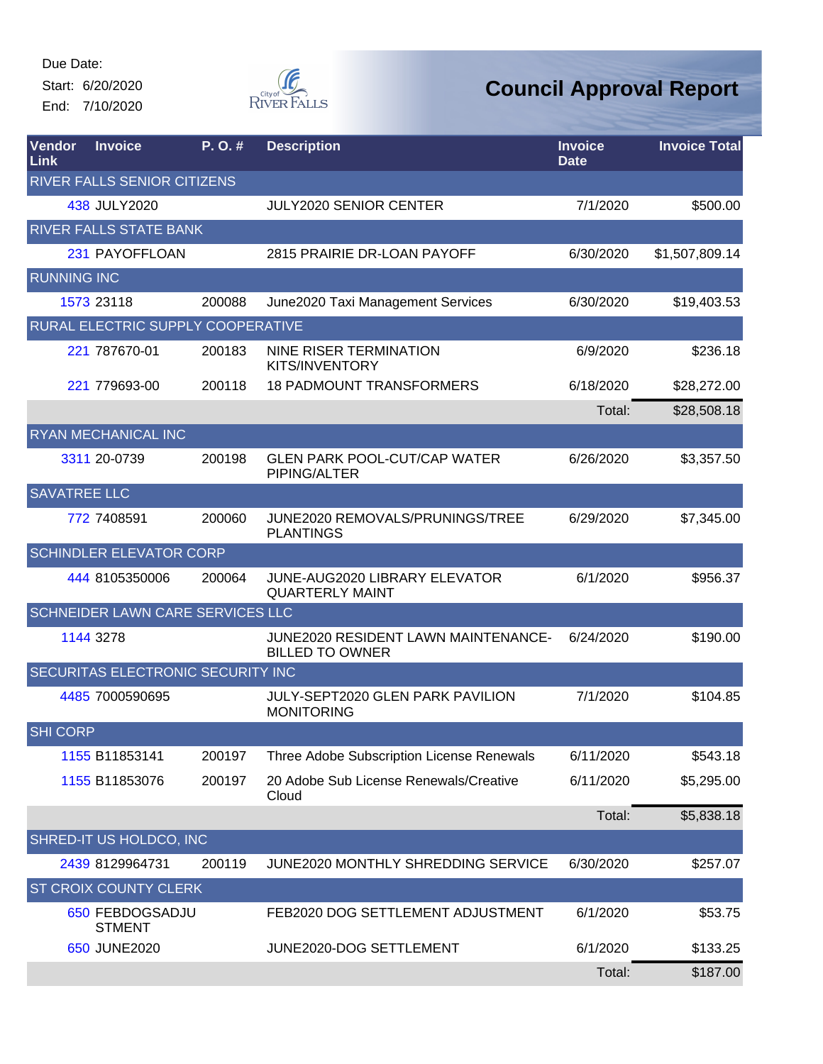Start: 6/20/2020 End: 7/10/2020



| Vendor<br><b>Link</b> | <b>Invoice</b>                     | P.O.#  | <b>Description</b>                                            | <b>Invoice</b><br><b>Date</b> | <b>Invoice Total</b> |
|-----------------------|------------------------------------|--------|---------------------------------------------------------------|-------------------------------|----------------------|
|                       | <b>RIVER FALLS SENIOR CITIZENS</b> |        |                                                               |                               |                      |
|                       | 438 JULY2020                       |        | <b>JULY2020 SENIOR CENTER</b>                                 | 7/1/2020                      | \$500.00             |
|                       | <b>RIVER FALLS STATE BANK</b>      |        |                                                               |                               |                      |
|                       | 231 PAYOFFLOAN                     |        | 2815 PRAIRIE DR-LOAN PAYOFF                                   | 6/30/2020                     | \$1,507,809.14       |
| <b>RUNNING INC</b>    |                                    |        |                                                               |                               |                      |
|                       | 1573 23118                         | 200088 | June2020 Taxi Management Services                             | 6/30/2020                     | \$19,403.53          |
|                       | RURAL ELECTRIC SUPPLY COOPERATIVE  |        |                                                               |                               |                      |
|                       | 221 787670-01                      | 200183 | <b>NINE RISER TERMINATION</b><br>KITS/INVENTORY               | 6/9/2020                      | \$236.18             |
|                       | 221 779693-00                      | 200118 | <b>18 PADMOUNT TRANSFORMERS</b>                               | 6/18/2020                     | \$28,272.00          |
|                       |                                    |        |                                                               | Total:                        | \$28,508.18          |
|                       | RYAN MECHANICAL INC                |        |                                                               |                               |                      |
|                       | 3311 20-0739                       | 200198 | <b>GLEN PARK POOL-CUT/CAP WATER</b><br>PIPING/ALTER           | 6/26/2020                     | \$3,357.50           |
| <b>SAVATREE LLC</b>   |                                    |        |                                                               |                               |                      |
|                       | 772 7408591                        | 200060 | JUNE2020 REMOVALS/PRUNINGS/TREE<br><b>PLANTINGS</b>           | 6/29/2020                     | \$7,345.00           |
|                       | <b>SCHINDLER ELEVATOR CORP</b>     |        |                                                               |                               |                      |
|                       | 444 8105350006                     | 200064 | JUNE-AUG2020 LIBRARY ELEVATOR<br><b>QUARTERLY MAINT</b>       | 6/1/2020                      | \$956.37             |
|                       | SCHNEIDER LAWN CARE SERVICES LLC   |        |                                                               |                               |                      |
|                       | 1144 3278                          |        | JUNE2020 RESIDENT LAWN MAINTENANCE-<br><b>BILLED TO OWNER</b> | 6/24/2020                     | \$190.00             |
|                       | SECURITAS ELECTRONIC SECURITY INC  |        |                                                               |                               |                      |
|                       | 4485 7000590695                    |        | JULY-SEPT2020 GLEN PARK PAVILION<br><b>MONITORING</b>         | 7/1/2020                      | \$104.85             |
| <b>SHI CORP</b>       |                                    |        |                                                               |                               |                      |
|                       | 1155 B11853141                     | 200197 | Three Adobe Subscription License Renewals                     | 6/11/2020                     | \$543.18             |
|                       | 1155 B11853076                     | 200197 | 20 Adobe Sub License Renewals/Creative<br>Cloud               | 6/11/2020                     | \$5,295.00           |
|                       |                                    |        |                                                               | Total:                        | \$5,838.18           |
|                       | SHRED-IT US HOLDCO, INC            |        |                                                               |                               |                      |
|                       | 2439 8129964731                    | 200119 | JUNE2020 MONTHLY SHREDDING SERVICE                            | 6/30/2020                     | \$257.07             |
|                       | <b>ST CROIX COUNTY CLERK</b>       |        |                                                               |                               |                      |
|                       | 650 FEBDOGSADJU<br><b>STMENT</b>   |        | FEB2020 DOG SETTLEMENT ADJUSTMENT                             | 6/1/2020                      | \$53.75              |
|                       | 650 JUNE2020                       |        | JUNE2020-DOG SETTLEMENT                                       | 6/1/2020                      | \$133.25             |
|                       |                                    |        |                                                               | Total:                        | \$187.00             |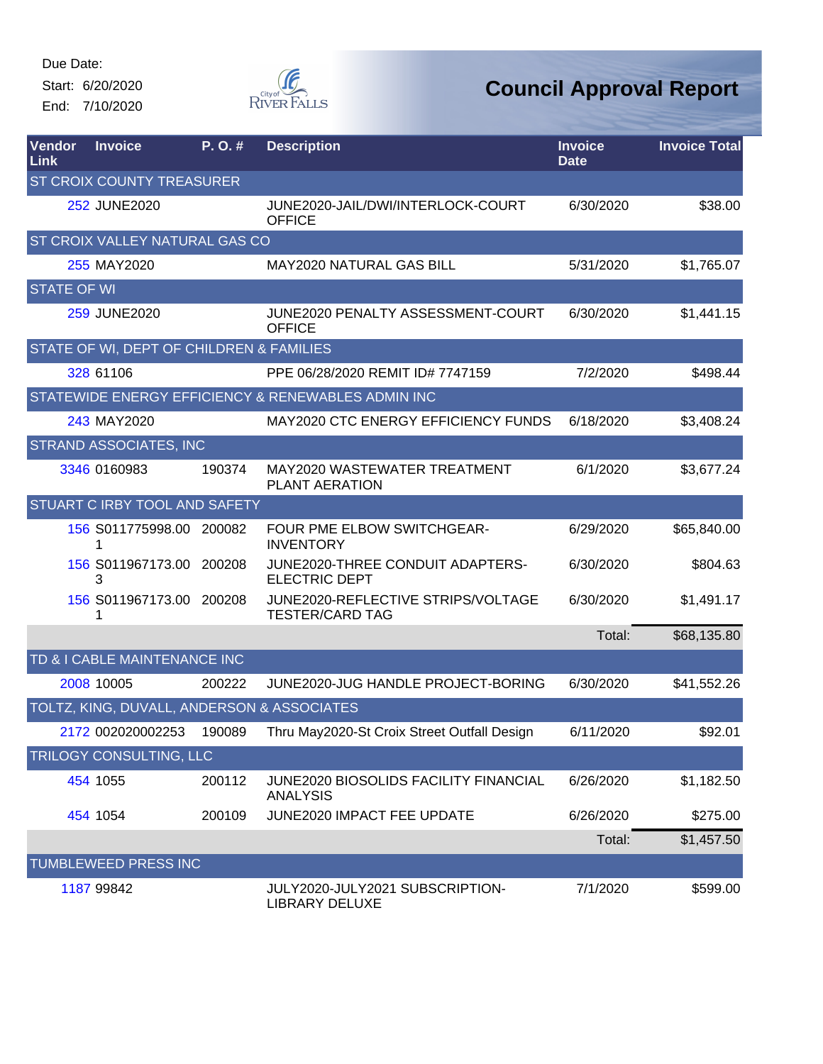Start: 6/20/2020 End: 7/10/2020



| Vendor<br>Link     | <b>Invoice</b>                             | P.O.#  | <b>Description</b>                                           | <b>Invoice</b><br><b>Date</b> | <b>Invoice Total</b> |
|--------------------|--------------------------------------------|--------|--------------------------------------------------------------|-------------------------------|----------------------|
|                    | <b>ST CROIX COUNTY TREASURER</b>           |        |                                                              |                               |                      |
|                    | 252 JUNE 2020                              |        | JUNE2020-JAIL/DWI/INTERLOCK-COURT<br><b>OFFICE</b>           | 6/30/2020                     | \$38.00              |
|                    | <b>ST CROIX VALLEY NATURAL GAS CO</b>      |        |                                                              |                               |                      |
|                    | 255 MAY2020                                |        | <b>MAY2020 NATURAL GAS BILL</b>                              | 5/31/2020                     | \$1,765.07           |
| <b>STATE OF WI</b> |                                            |        |                                                              |                               |                      |
|                    | 259 JUNE2020                               |        | JUNE2020 PENALTY ASSESSMENT-COURT<br><b>OFFICE</b>           | 6/30/2020                     | \$1,441.15           |
|                    | STATE OF WI, DEPT OF CHILDREN & FAMILIES   |        |                                                              |                               |                      |
|                    | 328 61106                                  |        | PPE 06/28/2020 REMIT ID# 7747159                             | 7/2/2020                      | \$498.44             |
|                    |                                            |        | STATEWIDE ENERGY EFFICIENCY & RENEWABLES ADMIN INC           |                               |                      |
|                    | 243 MAY2020                                |        | MAY2020 CTC ENERGY EFFICIENCY FUNDS                          | 6/18/2020                     | \$3,408.24           |
|                    | STRAND ASSOCIATES, INC                     |        |                                                              |                               |                      |
|                    | 3346 0160983                               | 190374 | MAY2020 WASTEWATER TREATMENT<br><b>PLANT AERATION</b>        | 6/1/2020                      | \$3,677.24           |
|                    | <b>STUART C IRBY TOOL AND SAFETY</b>       |        |                                                              |                               |                      |
|                    | 156 S011775998.00 200082                   |        | FOUR PME ELBOW SWITCHGEAR-<br><b>INVENTORY</b>               | 6/29/2020                     | \$65,840.00          |
|                    | 156 S011967173.00 200208<br>3              |        | JUNE2020-THREE CONDUIT ADAPTERS-<br><b>ELECTRIC DEPT</b>     | 6/30/2020                     | \$804.63             |
|                    | 156 S011967173.00 200208<br>1              |        | JUNE2020-REFLECTIVE STRIPS/VOLTAGE<br><b>TESTER/CARD TAG</b> | 6/30/2020                     | \$1,491.17           |
|                    |                                            |        |                                                              | Total:                        | \$68,135.80          |
|                    | TD & I CABLE MAINTENANCE INC               |        |                                                              |                               |                      |
|                    | 2008 10005                                 | 200222 | JUNE2020-JUG HANDLE PROJECT-BORING                           | 6/30/2020                     | \$41,552.26          |
|                    | TOLTZ, KING, DUVALL, ANDERSON & ASSOCIATES |        |                                                              |                               |                      |
|                    | 2172 002020002253 190089                   |        | Thru May2020-St Croix Street Outfall Design                  | 6/11/2020                     | \$92.01              |
|                    | TRILOGY CONSULTING, LLC                    |        |                                                              |                               |                      |
|                    | 454 1055                                   | 200112 | JUNE2020 BIOSOLIDS FACILITY FINANCIAL<br><b>ANALYSIS</b>     | 6/26/2020                     | \$1,182.50           |
|                    | 454 1054                                   | 200109 | JUNE2020 IMPACT FEE UPDATE                                   | 6/26/2020                     | \$275.00             |
|                    |                                            |        |                                                              | Total:                        | \$1,457.50           |
|                    | TUMBLEWEED PRESS INC                       |        |                                                              |                               |                      |
|                    | 1187 99842                                 |        | JULY2020-JULY2021 SUBSCRIPTION-<br><b>LIBRARY DELUXE</b>     | 7/1/2020                      | \$599.00             |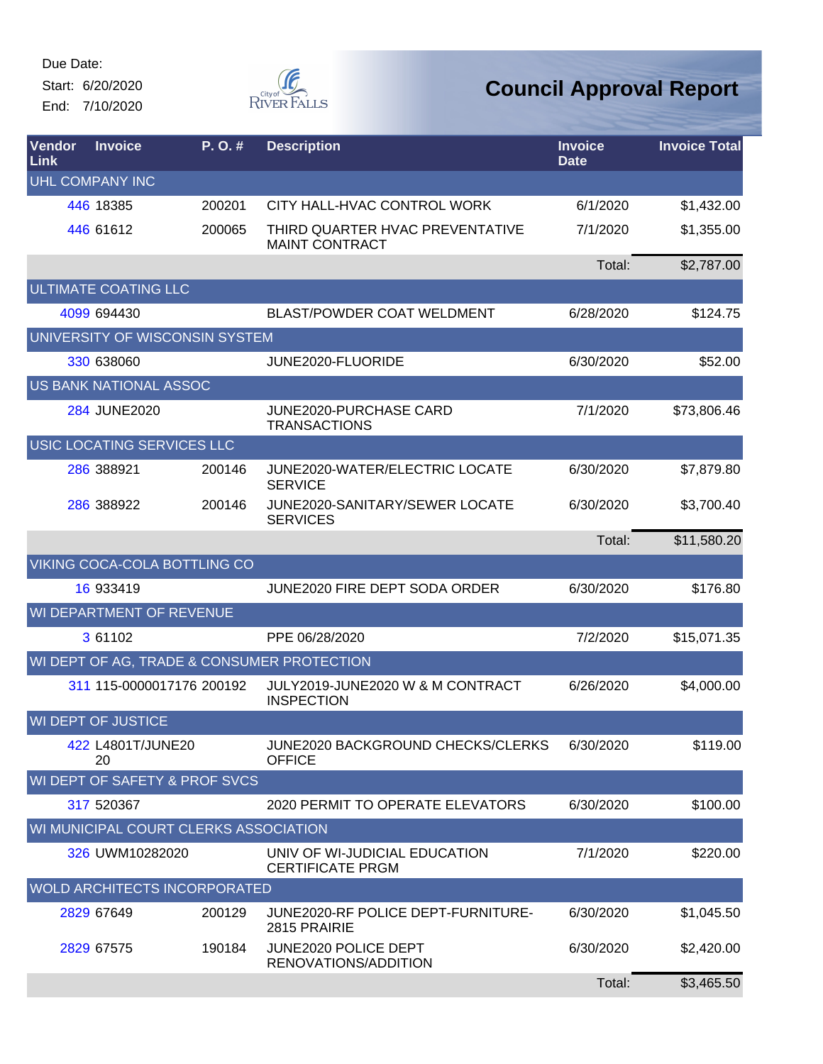Start: 6/20/2020 End: 7/10/2020



| <b>Vendor</b><br><b>Link</b> | <b>Invoice</b>                        | P. O. # | <b>Description</b>                                        | <b>Invoice</b><br><b>Date</b> | <b>Invoice Total</b> |
|------------------------------|---------------------------------------|---------|-----------------------------------------------------------|-------------------------------|----------------------|
|                              | <b>UHL COMPANY INC</b>                |         |                                                           |                               |                      |
|                              | 446 18385                             | 200201  | CITY HALL-HVAC CONTROL WORK                               | 6/1/2020                      | \$1,432.00           |
|                              | 446 61612                             | 200065  | THIRD QUARTER HVAC PREVENTATIVE<br><b>MAINT CONTRACT</b>  | 7/1/2020                      | \$1,355.00           |
|                              |                                       |         |                                                           | Total:                        | \$2,787.00           |
|                              | <b>ULTIMATE COATING LLC</b>           |         |                                                           |                               |                      |
|                              | 4099 694430                           |         | BLAST/POWDER COAT WELDMENT                                | 6/28/2020                     | \$124.75             |
|                              | UNIVERSITY OF WISCONSIN SYSTEM        |         |                                                           |                               |                      |
|                              | 330 638060                            |         | JUNE2020-FLUORIDE                                         | 6/30/2020                     | \$52.00              |
|                              | US BANK NATIONAL ASSOC                |         |                                                           |                               |                      |
|                              | 284 JUNE2020                          |         | <b>JUNE2020-PURCHASE CARD</b><br><b>TRANSACTIONS</b>      | 7/1/2020                      | \$73,806.46          |
|                              | USIC LOCATING SERVICES LLC            |         |                                                           |                               |                      |
|                              | 286 388921                            | 200146  | JUNE2020-WATER/ELECTRIC LOCATE<br><b>SERVICE</b>          | 6/30/2020                     | \$7,879.80           |
|                              | 286 388922                            | 200146  | JUNE2020-SANITARY/SEWER LOCATE<br><b>SERVICES</b>         | 6/30/2020                     | \$3,700.40           |
|                              |                                       |         |                                                           | Total:                        | \$11,580.20          |
|                              | VIKING COCA-COLA BOTTLING CO          |         |                                                           |                               |                      |
|                              | 16 933419                             |         | JUNE2020 FIRE DEPT SODA ORDER                             | 6/30/2020                     | \$176.80             |
|                              | WI DEPARTMENT OF REVENUE              |         |                                                           |                               |                      |
|                              | 3 61102                               |         | PPE 06/28/2020                                            | 7/2/2020                      | \$15,071.35          |
|                              |                                       |         | WI DEPT OF AG, TRADE & CONSUMER PROTECTION                |                               |                      |
|                              | 311 115-0000017176 200192             |         | JULY2019-JUNE2020 W & M CONTRACT<br><b>INSPECTION</b>     | 6/26/2020                     | \$4,000.00           |
|                              | <b>WI DEPT OF JUSTICE</b>             |         |                                                           |                               |                      |
|                              | 422 L4801T/JUNE20<br>20               |         | <b>JUNE2020 BACKGROUND CHECKS/CLERKS</b><br><b>OFFICE</b> | 6/30/2020                     | \$119.00             |
|                              | WI DEPT OF SAFETY & PROF SVCS         |         |                                                           |                               |                      |
|                              | 317 520367                            |         | 2020 PERMIT TO OPERATE ELEVATORS                          | 6/30/2020                     | \$100.00             |
|                              | WI MUNICIPAL COURT CLERKS ASSOCIATION |         |                                                           |                               |                      |
|                              | 326 UWM10282020                       |         | UNIV OF WI-JUDICIAL EDUCATION<br><b>CERTIFICATE PRGM</b>  | 7/1/2020                      | \$220.00             |
|                              | <b>WOLD ARCHITECTS INCORPORATED</b>   |         |                                                           |                               |                      |
|                              | 2829 67649                            | 200129  | JUNE2020-RF POLICE DEPT-FURNITURE-<br>2815 PRAIRIE        | 6/30/2020                     | \$1,045.50           |
|                              | 2829 67575                            | 190184  | <b>JUNE2020 POLICE DEPT</b><br>RENOVATIONS/ADDITION       | 6/30/2020                     | \$2,420.00           |
|                              |                                       |         |                                                           | Total:                        | \$3,465.50           |